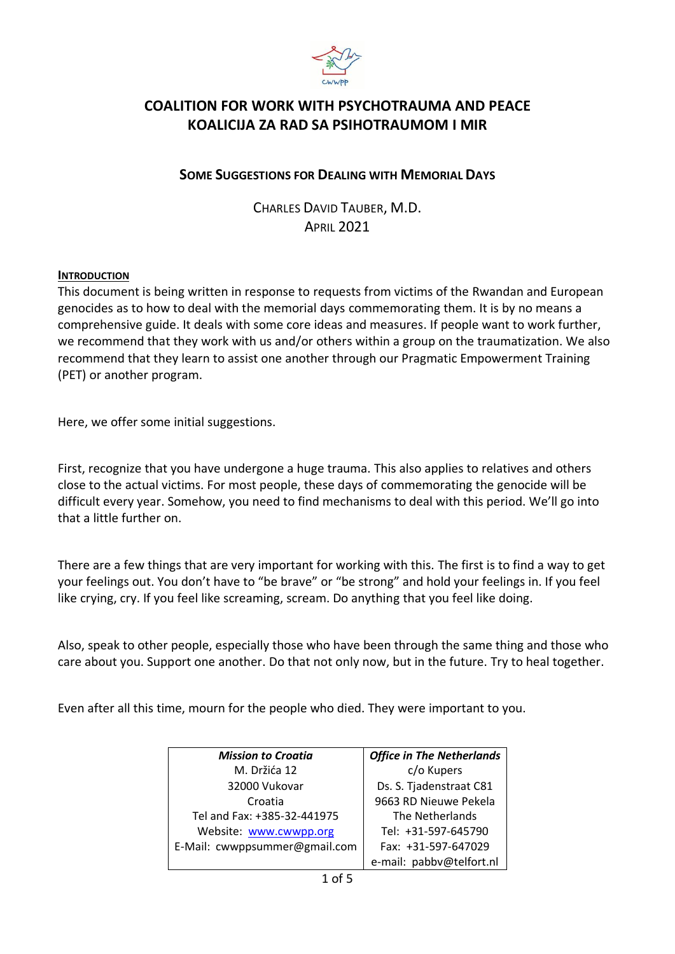

# **COALITION FOR WORK WITH PSYCHOTRAUMA AND PEACE KOALICIJA ZA RAD SA PSIHOTRAUMOM I MIR**

## **SOME SUGGESTIONS FOR DEALING WITH MEMORIAL DAYS**

CHARLES DAVID TAUBER, M.D. APRIL 2021

### **INTRODUCTION**

This document is being written in response to requests from victims of the Rwandan and European genocides as to how to deal with the memorial days commemorating them. It is by no means a comprehensive guide. It deals with some core ideas and measures. If people want to work further, we recommend that they work with us and/or others within a group on the traumatization. We also recommend that they learn to assist one another through our Pragmatic Empowerment Training (PET) or another program.

Here, we offer some initial suggestions.

First, recognize that you have undergone a huge trauma. This also applies to relatives and others close to the actual victims. For most people, these days of commemorating the genocide will be difficult every year. Somehow, you need to find mechanisms to deal with this period. We'll go into that a little further on.

There are a few things that are very important for working with this. The first is to find a way to get your feelings out. You don't have to "be brave" or "be strong" and hold your feelings in. If you feel like crying, cry. If you feel like screaming, scream. Do anything that you feel like doing.

Also, speak to other people, especially those who have been through the same thing and those who care about you. Support one another. Do that not only now, but in the future. Try to heal together.

Even after all this time, mourn for the people who died. They were important to you.

| <b>Mission to Croatia</b>     | <b>Office in The Netherlands</b> |
|-------------------------------|----------------------------------|
| M. Držića 12                  | c/o Kupers                       |
| 32000 Vukovar                 | Ds. S. Tjadenstraat C81          |
| Croatia                       | 9663 RD Nieuwe Pekela            |
| Tel and Fax: +385-32-441975   | The Netherlands                  |
| Website: www.cwwpp.org        | Tel: +31-597-645790              |
| E-Mail: cwwppsummer@gmail.com | Fax: +31-597-647029              |
|                               | e-mail: pabbv@telfort.nl         |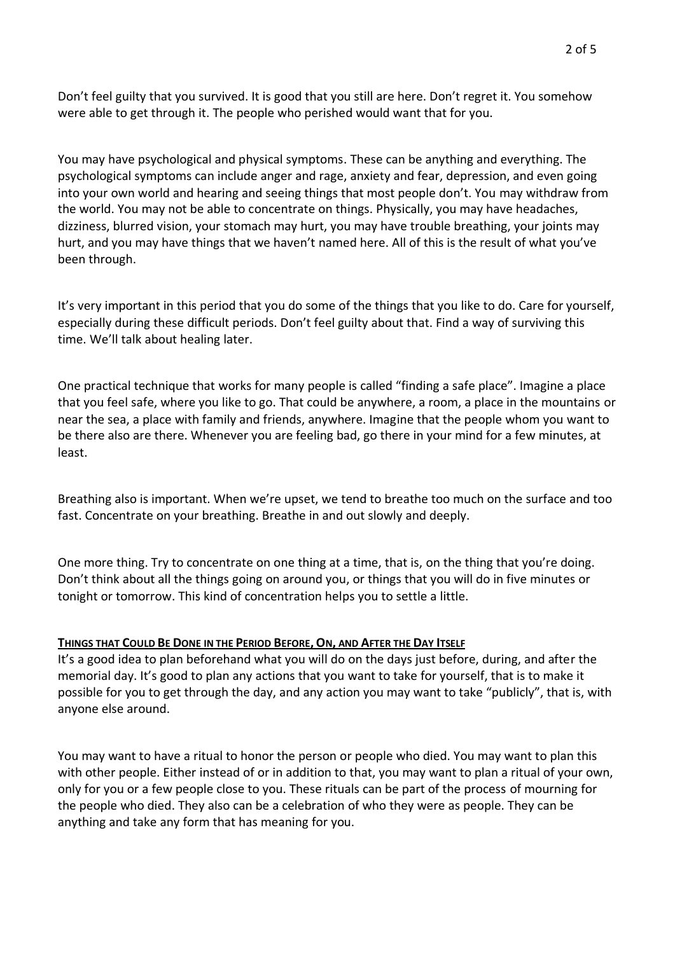Don't feel guilty that you survived. It is good that you still are here. Don't regret it. You somehow were able to get through it. The people who perished would want that for you.

You may have psychological and physical symptoms. These can be anything and everything. The psychological symptoms can include anger and rage, anxiety and fear, depression, and even going into your own world and hearing and seeing things that most people don't. You may withdraw from the world. You may not be able to concentrate on things. Physically, you may have headaches, dizziness, blurred vision, your stomach may hurt, you may have trouble breathing, your joints may hurt, and you may have things that we haven't named here. All of this is the result of what you've been through.

It's very important in this period that you do some of the things that you like to do. Care for yourself, especially during these difficult periods. Don't feel guilty about that. Find a way of surviving this time. We'll talk about healing later.

One practical technique that works for many people is called "finding a safe place". Imagine a place that you feel safe, where you like to go. That could be anywhere, a room, a place in the mountains or near the sea, a place with family and friends, anywhere. Imagine that the people whom you want to be there also are there. Whenever you are feeling bad, go there in your mind for a few minutes, at least.

Breathing also is important. When we're upset, we tend to breathe too much on the surface and too fast. Concentrate on your breathing. Breathe in and out slowly and deeply.

One more thing. Try to concentrate on one thing at a time, that is, on the thing that you're doing. Don't think about all the things going on around you, or things that you will do in five minutes or tonight or tomorrow. This kind of concentration helps you to settle a little.

## THINGS THAT COULD BE DONE IN THE PERIOD BEFORE, ON, AND AFTER THE DAY ITSELF

It's a good idea to plan beforehand what you will do on the days just before, during, and after the memorial day. It's good to plan any actions that you want to take for yourself, that is to make it possible for you to get through the day, and any action you may want to take "publicly", that is, with anyone else around.

You may want to have a ritual to honor the person or people who died. You may want to plan this with other people. Either instead of or in addition to that, you may want to plan a ritual of your own, only for you or a few people close to you. These rituals can be part of the process of mourning for the people who died. They also can be a celebration of who they were as people. They can be anything and take any form that has meaning for you.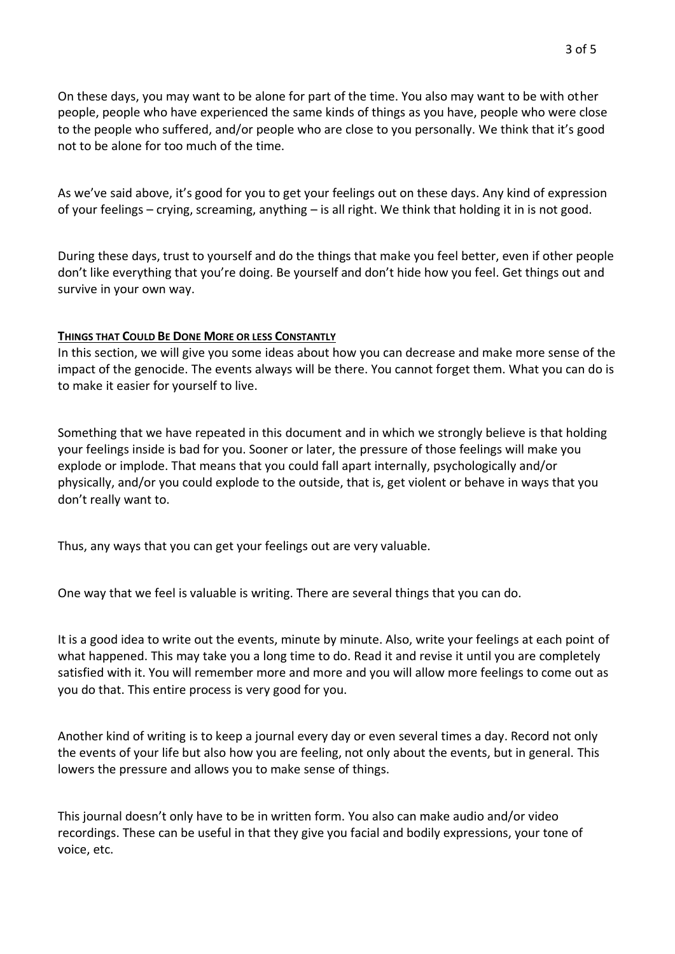On these days, you may want to be alone for part of the time. You also may want to be with other people, people who have experienced the same kinds of things as you have, people who were close to the people who suffered, and/or people who are close to you personally. We think that it's good not to be alone for too much of the time.

As we've said above, it's good for you to get your feelings out on these days. Any kind of expression of your feelings – crying, screaming, anything – is all right. We think that holding it in is not good.

During these days, trust to yourself and do the things that make you feel better, even if other people don't like everything that you're doing. Be yourself and don't hide how you feel. Get things out and survive in your own way.

#### **THINGS THAT COULD BE DONE MORE OR LESS CONSTANTLY**

In this section, we will give you some ideas about how you can decrease and make more sense of the impact of the genocide. The events always will be there. You cannot forget them. What you can do is to make it easier for yourself to live.

Something that we have repeated in this document and in which we strongly believe is that holding your feelings inside is bad for you. Sooner or later, the pressure of those feelings will make you explode or implode. That means that you could fall apart internally, psychologically and/or physically, and/or you could explode to the outside, that is, get violent or behave in ways that you don't really want to.

Thus, any ways that you can get your feelings out are very valuable.

One way that we feel is valuable is writing. There are several things that you can do.

It is a good idea to write out the events, minute by minute. Also, write your feelings at each point of what happened. This may take you a long time to do. Read it and revise it until you are completely satisfied with it. You will remember more and more and you will allow more feelings to come out as you do that. This entire process is very good for you.

Another kind of writing is to keep a journal every day or even several times a day. Record not only the events of your life but also how you are feeling, not only about the events, but in general. This lowers the pressure and allows you to make sense of things.

This journal doesn't only have to be in written form. You also can make audio and/or video recordings. These can be useful in that they give you facial and bodily expressions, your tone of voice, etc.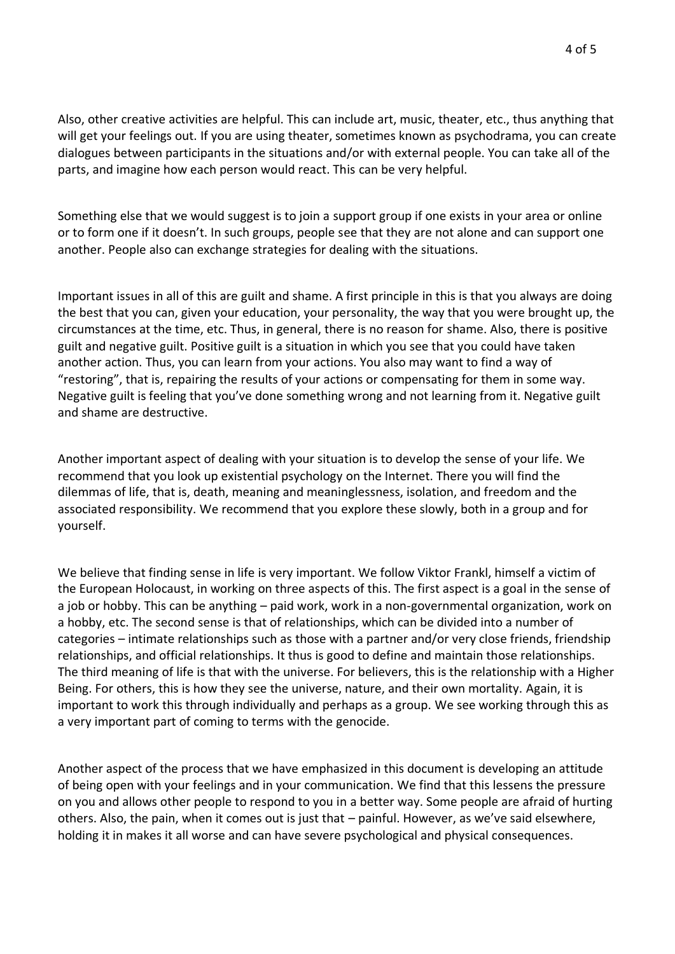Also, other creative activities are helpful. This can include art, music, theater, etc., thus anything that will get your feelings out. If you are using theater, sometimes known as psychodrama, you can create dialogues between participants in the situations and/or with external people. You can take all of the parts, and imagine how each person would react. This can be very helpful.

Something else that we would suggest is to join a support group if one exists in your area or online or to form one if it doesn't. In such groups, people see that they are not alone and can support one another. People also can exchange strategies for dealing with the situations.

Important issues in all of this are guilt and shame. A first principle in this is that you always are doing the best that you can, given your education, your personality, the way that you were brought up, the circumstances at the time, etc. Thus, in general, there is no reason for shame. Also, there is positive guilt and negative guilt. Positive guilt is a situation in which you see that you could have taken another action. Thus, you can learn from your actions. You also may want to find a way of "restoring", that is, repairing the results of your actions or compensating for them in some way. Negative guilt is feeling that you've done something wrong and not learning from it. Negative guilt and shame are destructive.

Another important aspect of dealing with your situation is to develop the sense of your life. We recommend that you look up existential psychology on the Internet. There you will find the dilemmas of life, that is, death, meaning and meaninglessness, isolation, and freedom and the associated responsibility. We recommend that you explore these slowly, both in a group and for yourself.

We believe that finding sense in life is very important. We follow Viktor Frankl, himself a victim of the European Holocaust, in working on three aspects of this. The first aspect is a goal in the sense of a job or hobby. This can be anything – paid work, work in a non-governmental organization, work on a hobby, etc. The second sense is that of relationships, which can be divided into a number of categories – intimate relationships such as those with a partner and/or very close friends, friendship relationships, and official relationships. It thus is good to define and maintain those relationships. The third meaning of life is that with the universe. For believers, this is the relationship with a Higher Being. For others, this is how they see the universe, nature, and their own mortality. Again, it is important to work this through individually and perhaps as a group. We see working through this as a very important part of coming to terms with the genocide.

Another aspect of the process that we have emphasized in this document is developing an attitude of being open with your feelings and in your communication. We find that this lessens the pressure on you and allows other people to respond to you in a better way. Some people are afraid of hurting others. Also, the pain, when it comes out is just that – painful. However, as we've said elsewhere, holding it in makes it all worse and can have severe psychological and physical consequences.